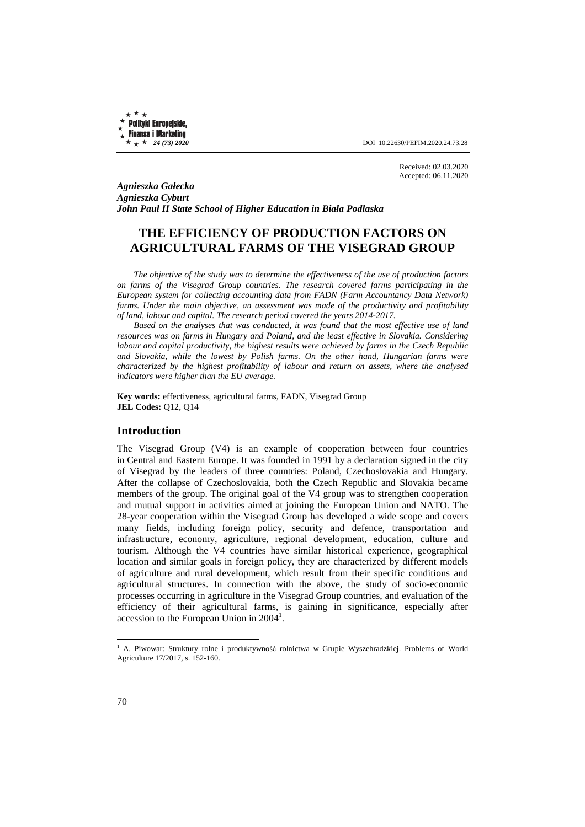Polityki Europejskie, **Finanse i Marketing** 

 $\star + 24$  (73) 2020 **DOI** 10.22630/PEFIM.2020.24.73.28

Received: 02.03.2020 Accepted: 06.11.2020

*Agnieszka Gałecka Agnieszka Cyburt John Paul II State School of Higher Education in Biała Podlaska* 

# **THE EFFICIENCY OF PRODUCTION FACTORS ON AGRICULTURAL FARMS OF THE VISEGRAD GROUP**

*The objective of the study was to determine the effectiveness of the use of production factors on farms of the Visegrad Group countries. The research covered farms participating in the European system for collecting accounting data from FADN (Farm Accountancy Data Network)*  farms. Under the main objective, an assessment was made of the productivity and profitability *of land, labour and capital. The research period covered the years 2014-2017.* 

*Based on the analyses that was conducted, it was found that the most effective use of land resources was on farms in Hungary and Poland, and the least effective in Slovakia. Considering labour and capital productivity, the highest results were achieved by farms in the Czech Republic and Slovakia, while the lowest by Polish farms. On the other hand, Hungarian farms were characterized by the highest profitability of labour and return on assets, where the analysed indicators were higher than the EU average.* 

**Key words:** effectiveness, agricultural farms, FADN, Visegrad Group **JEL Codes:** Q12, Q14

## **Introduction**

The Visegrad Group (V4) is an example of cooperation between four countries in Central and Eastern Europe. It was founded in 1991 by a declaration signed in the city of Visegrad by the leaders of three countries: Poland, Czechoslovakia and Hungary. After the collapse of Czechoslovakia, both the Czech Republic and Slovakia became members of the group. The original goal of the V4 group was to strengthen cooperation and mutual support in activities aimed at joining the European Union and NATO. The 28-year cooperation within the Visegrad Group has developed a wide scope and covers many fields, including foreign policy, security and defence, transportation and infrastructure, economy, agriculture, regional development, education, culture and tourism. Although the V4 countries have similar historical experience, geographical location and similar goals in foreign policy, they are characterized by different models of agriculture and rural development, which result from their specific conditions and agricultural structures. In connection with the above, the study of socio-economic processes occurring in agriculture in the Visegrad Group countries, and evaluation of the efficiency of their agricultural farms, is gaining in significance, especially after  $accession$  to the European Union in  $2004<sup>1</sup>$ .

l

<sup>1</sup> A. Piwowar: Struktury rolne i produktywność rolnictwa w Grupie Wyszehradzkiej. Problems of World Agriculture 17/2017, s. 152-160.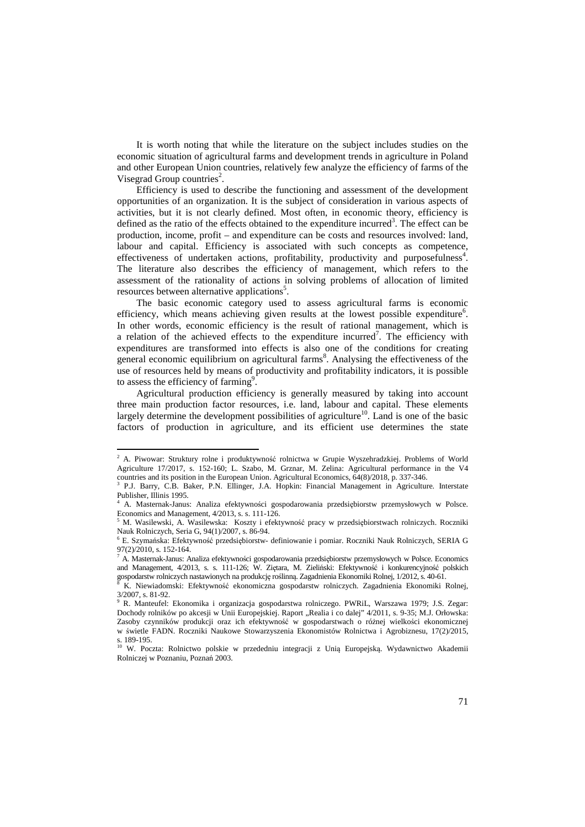It is worth noting that while the literature on the subject includes studies on the economic situation of agricultural farms and development trends in agriculture in Poland and other European Union countries, relatively few analyze the efficiency of farms of the Visegrad Group countries<sup>2</sup>.

Efficiency is used to describe the functioning and assessment of the development opportunities of an organization. It is the subject of consideration in various aspects of activities, but it is not clearly defined. Most often, in economic theory, efficiency is defined as the ratio of the effects obtained to the expenditure incurred<sup>3</sup>. The effect can be production, income, profit – and expenditure can be costs and resources involved: land, labour and capital. Efficiency is associated with such concepts as competence, effectiveness of undertaken actions, profitability, productivity and purposefulness<sup>4</sup>. The literature also describes the efficiency of management, which refers to the assessment of the rationality of actions in solving problems of allocation of limited resources between alternative applications<sup>5</sup>.

The basic economic category used to assess agricultural farms is economic efficiency, which means achieving given results at the lowest possible expenditure<sup>6</sup>. In other words, economic efficiency is the result of rational management, which is a relation of the achieved effects to the expenditure incurred<sup>7</sup>. The efficiency with expenditures are transformed into effects is also one of the conditions for creating general economic equilibrium on agricultural farms<sup>8</sup>. Analysing the effectiveness of the use of resources held by means of productivity and profitability indicators, it is possible to assess the efficiency of farming<sup>9</sup>.

Agricultural production efficiency is generally measured by taking into account three main production factor resources, i.e. land, labour and capital. These elements largely determine the development possibilities of agriculture<sup>10</sup>. Land is one of the basic factors of production in agriculture, and its efficient use determines the state

 $\overline{a}$ 

<sup>2</sup> A. Piwowar: Struktury rolne i produktywność rolnictwa w Grupie Wyszehradzkiej. Problems of World Agriculture 17/2017, s. 152-160; L. Szabo, M. Grznar, M. Zelina: Agricultural performance in the V4 countries and its position in the European Union. Agricultural Economics, 64(8)/2018, p. 337-346.<br><sup>3</sup> P.L. Berry, C.B. Beker, P.N. Ellinger, J.A. Hopkin: Einapoial Managament, in Agricultur

P.J. Barry, C.B. Baker, P.N. Ellinger, J.A. Hopkin: Financial Management in Agriculture. Interstate Publisher, Illinis 1995.

<sup>4</sup> A. Masternak-Janus: Analiza efektywności gospodarowania przedsiębiorstw przemysłowych w Polsce. Economics and Management, 4/2013, s. s. 111-126.

<sup>5</sup> M. Wasilewski, A. Wasilewska: Koszty i efektywność pracy w przedsiębiorstwach rolniczych. Roczniki Nauk Rolniczych, Seria G, 94(1)/2007, s. 86-94.

<sup>6</sup> E. Szymańska: Efektywność przedsiębiorstw- definiowanie i pomiar. Roczniki Nauk Rolniczych, SERIA G  $97(2)/2010 \times 152 - 164$ 

<sup>7</sup> A. Masternak-Janus: Analiza efektywności gospodarowania przedsiębiorstw przemysłowych w Polsce. Economics and Management, 4/2013, s. s. 111-126; W. Ziętara, M. Zieliński: Efektywność i konkurencyjność polskich gospodarstw rolniczych nastawionych na produkcję roślinną. Zagadnienia Ekonomiki Rolnej, 1/2012, s. 40-61.<br><sup>8</sup> K. Niemiedemski: Efektywność, akonomierna, gospodarstw, rolniezych. Zagadnienia Ekonomiki E

K. Niewiadomski: Efektywność ekonomiczna gospodarstw rolniczych. Zagadnienia Ekonomiki Rolnej, 3/2007, s. 81-92.

<sup>9</sup> R. Manteufel: Ekonomika i organizacja gospodarstwa rolniczego. PWRiL, Warszawa 1979; J.S. Zegar: Dochody rolników po akcesji w Unii Europejskiej. Raport "Realia i co dalej" 4/2011, s. 9-35; M.J. Orłowska: Zasoby czynników produkcji oraz ich efektywność w gospodarstwach o różnej wielkości ekonomicznej w świetle FADN. Roczniki Naukowe Stowarzyszenia Ekonomistów Rolnictwa i Agrobiznesu, 17(2)/2015, s. 189-195.

<sup>&</sup>lt;sup>10</sup> W. Poczta: Rolnictwo polskie w przededniu integracji z Unią Europejską. Wydawnictwo Akademii Rolniczej w Poznaniu, Poznań 2003.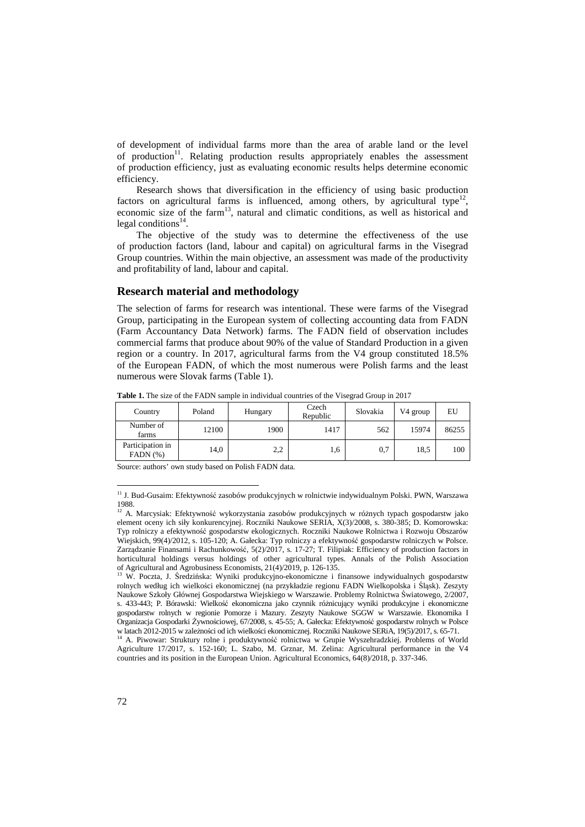of development of individual farms more than the area of arable land or the level of production<sup>11</sup>. Relating production results appropriately enables the assessment of production efficiency, just as evaluating economic results helps determine economic efficiency.

Research shows that diversification in the efficiency of using basic production factors on agricultural farms is influenced, among others, by agricultural type<sup>12</sup>, economic size of the farm<sup>13</sup>, natural and climatic conditions, as well as historical and legal conditions<sup>14</sup>.

The objective of the study was to determine the effectiveness of the use of production factors (land, labour and capital) on agricultural farms in the Visegrad Group countries. Within the main objective, an assessment was made of the productivity and profitability of land, labour and capital.

#### **Research material and methodology**

The selection of farms for research was intentional. These were farms of the Visegrad Group, participating in the European system of collecting accounting data from FADN (Farm Accountancy Data Network) farms. The FADN field of observation includes commercial farms that produce about 90% of the value of Standard Production in a given region or a country. In 2017, agricultural farms from the V4 group constituted 18.5% of the European FADN, of which the most numerous were Polish farms and the least numerous were Slovak farms (Table 1).

| Country                           | Poland | Hungary | Czech<br>Republic | Slovakia | V4 group | EU    |
|-----------------------------------|--------|---------|-------------------|----------|----------|-------|
| Number of<br>farms                | 12100  | 1900    | 1417              | 562      | 15974    | 86255 |
| Participation in<br>$FADN$ $(\%)$ | 14,0   | 2,2     | 1,6               | 0,7      | 18,5     | 100   |

**Table 1.** The size of the FADN sample in individual countries of the Visegrad Group in 2017

Source: authors' own study based on Polish FADN data.

l

<sup>11</sup> J. Bud-Gusaim: Efektywność zasobów produkcyjnych w rolnictwie indywidualnym Polski. PWN, Warszawa 1988.

<sup>&</sup>lt;sup>12</sup> A. Marcysiak: Efektywność wykorzystania zasobów produkcyjnych w różnych typach gospodarstw jako element oceny ich siły konkurencyjnej. Roczniki Naukowe SERIA, X(3)/2008, s. 380-385; D. Komorowska: Typ rolniczy a efektywność gospodarstw ekologicznych. Roczniki Naukowe Rolnictwa i Rozwoju Obszarów Wiejskich, 99(4)/2012, s. 105-120; A. Gałecka: Typ rolniczy a efektywność gospodarstw rolniczych w Polsce. Zarządzanie Finansami i Rachunkowość, 5(2)/2017, s. 17-27; T. Filipiak: Efficiency of production factors in horticultural holdings versus holdings of other agricultural types. Annals of the Polish Association of Agricultural and Agrobusiness Economists, 21(4)/2019, p. 126-135.

<sup>&</sup>lt;sup>13</sup> W. Poczta, J. Średzińska: Wyniki produkcyjno-ekonomiczne i finansowe indywidualnych gospodarstw rolnych według ich wielkości ekonomicznej (na przykładzie regionu FADN Wielkopolska i Śląsk). Zeszyty Naukowe Szkoły Głównej Gospodarstwa Wiejskiego w Warszawie. Problemy Rolnictwa Światowego, 2/2007, s. 433-443; P. Bórawski: Wielkość ekonomiczna jako czynnik różnicujący wyniki produkcyjne i ekonomiczne gospodarstw rolnych w regionie Pomorze i Mazury. Zeszyty Naukowe SGGW w Warszawie. Ekonomika I Organizacja Gospodarki Żywnościowej, 67/2008, s. 45-55; A. Gałecka: Efektywność gospodarstw rolnych w Polsce w latach 2012-2015 w zależności od ich wielkości ekonomicznej. Roczniki Naukowe SERiA, 19(5)/2017, s. 65-71.

<sup>14</sup> A. Piwowar: Struktury rolne i produktywność rolnictwa w Grupie Wyszehradzkiej. Problems of World Agriculture 17/2017, s. 152-160; L. Szabo, M. Grznar, M. Zelina: Agricultural performance in the V4 countries and its position in the European Union. Agricultural Economics, 64(8)/2018, p. 337-346.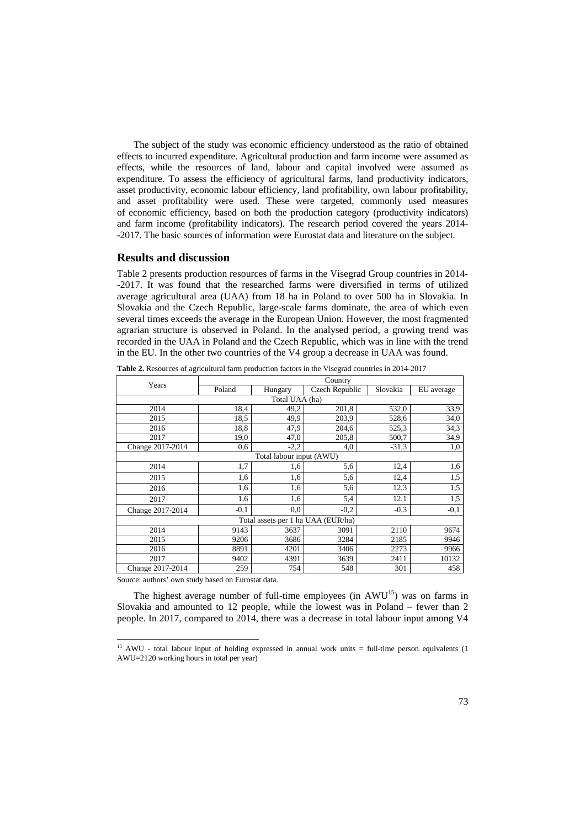The subject of the study was economic efficiency understood as the ratio of obtained effects to incurred expenditure. Agricultural production and farm income were assumed as effects, while the resources of land, labour and capital involved were assumed as expenditure. To assess the efficiency of agricultural farms, land productivity indicators, asset productivity, economic labour efficiency, land profitability, own labour profitability, and asset profitability were used. These were targeted, commonly used measures of economic efficiency, based on both the production category (productivity indicators) and farm income (profitability indicators). The research period covered the years 2014- -2017. The basic sources of information were Eurostat data and literature on the subject.

## **Results and discussion**

Table 2 presents production resources of farms in the Visegrad Group countries in 2014- -2017. It was found that the researched farms were diversified in terms of utilized average agricultural area (UAA) from 18 ha in Poland to over 500 ha in Slovakia. In Slovakia and the Czech Republic, large-scale farms dominate, the area of which even several times exceeds the average in the European Union. However, the most fragmented agrarian structure is observed in Poland. In the analysed period, a growing trend was recorded in the UAA in Poland and the Czech Republic, which was in line with the trend in the EU. In the other two countries of the V4 group a decrease in UAA was found.

| Years                              | Country |                          |                |          |            |  |  |
|------------------------------------|---------|--------------------------|----------------|----------|------------|--|--|
|                                    | Poland  | Hungary                  | Czech Republic | Slovakia | EU average |  |  |
| Total UAA (ha)                     |         |                          |                |          |            |  |  |
| 2014                               | 18,4    | 49,2                     | 201,8          | 532,0    | 33,9       |  |  |
| 2015                               | 18,5    | 49,9                     | 203,9          | 528,6    | 34,0       |  |  |
| 2016                               | 18,8    | 47.9                     | 204,6          | 525,3    | 34,3       |  |  |
| 2017                               | 19,0    | 47,0                     | 205,8          | 500,7    | 34,9       |  |  |
| Change 2017-2014                   | 0,6     | $-2,2$                   | 4,0            | $-31.3$  | 1,0        |  |  |
|                                    |         | Total labour input (AWU) |                |          |            |  |  |
| 2014                               | 1,7     | 1,6                      | 5,6            | 12,4     | 1,6        |  |  |
| 2015                               | 1,6     | 1,6                      | 5,6            | 12,4     | 1,5        |  |  |
| 2016                               | 1,6     | 1,6                      | 5,6            | 12,3     | 1,5        |  |  |
| 2017                               | 1,6     | 1,6                      | 5,4            | 12,1     | 1,5        |  |  |
| Change 2017-2014                   | $-0,1$  | 0,0                      | $-0.2$         | $-0.3$   | $-0,1$     |  |  |
| Total assets per 1 ha UAA (EUR/ha) |         |                          |                |          |            |  |  |
| 2014                               | 9143    | 3637                     | 3091           | 2110     | 9674       |  |  |
| 2015                               | 9206    | 3686                     | 3284           | 2185     | 9946       |  |  |
| 2016                               | 8891    | 4201                     | 3406           | 2273     | 9966       |  |  |
| 2017                               | 9402    | 4391                     | 3639           | 2411     | 10132      |  |  |
| Change 2017-2014                   | 259     | 754                      | 548            | 301      | 458        |  |  |

**Table 2.** Resources of agricultural farm production factors in the Visegrad countries in 2014-2017

Source: authors' own study based on Eurostat data.

l

The highest average number of full-time employees (in  $AWU^{15}$ ) was on farms in Slovakia and amounted to 12 people, while the lowest was in Poland – fewer than 2 people. In 2017, compared to 2014, there was a decrease in total labour input among V4

<sup>&</sup>lt;sup>15</sup> AWU - total labour input of holding expressed in annual work units = full-time person equivalents (1 AWU=2120 working hours in total per year)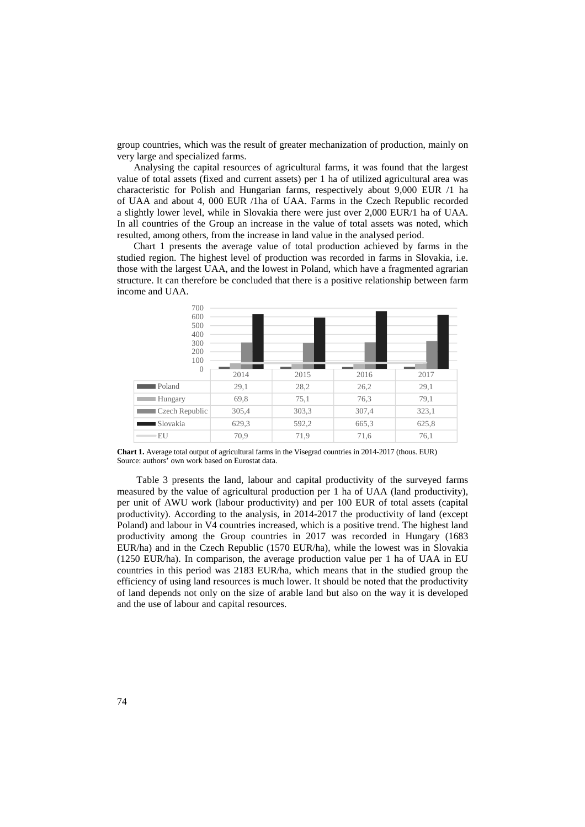group countries, which was the result of greater mechanization of production, mainly on very large and specialized farms.

Analysing the capital resources of agricultural farms, it was found that the largest value of total assets (fixed and current assets) per 1 ha of utilized agricultural area was characteristic for Polish and Hungarian farms, respectively about 9,000 EUR /1 ha of UAA and about 4, 000 EUR /1ha of UAA. Farms in the Czech Republic recorded a slightly lower level, while in Slovakia there were just over 2,000 EUR/1 ha of UAA. In all countries of the Group an increase in the value of total assets was noted, which resulted, among others, from the increase in land value in the analysed period.

Chart 1 presents the average value of total production achieved by farms in the studied region. The highest level of production was recorded in farms in Slovakia, i.e. those with the largest UAA, and the lowest in Poland, which have a fragmented agrarian structure. It can therefore be concluded that there is a positive relationship between farm income and UAA.

| 700                                  |       |       |       |       |
|--------------------------------------|-------|-------|-------|-------|
| 600                                  |       |       |       |       |
| 500                                  |       |       |       |       |
| 400                                  |       |       |       |       |
| 300                                  |       |       |       |       |
| 200                                  |       |       |       |       |
| 100                                  |       |       |       |       |
| $\theta$                             | 2014  | 2015  | 2016  | 2017  |
|                                      |       |       |       |       |
| <b>Poland</b>                        | 29,1  | 28,2  | 26,2  | 29,1  |
| Hungary                              | 69,8  | 75,1  | 76,3  | 79,1  |
| Czech Republic                       | 305,4 | 303,3 | 307,4 | 323,1 |
| Slovakia<br><b>Contract Contract</b> | 629,3 | 592,2 | 665,3 | 625,8 |
| EU                                   | 70,9  | 71,9  | 71,6  | 76,1  |

**Chart 1.** Average total output of agricultural farms in the Visegrad countries in 2014-2017 (thous. EUR) Source: authors' own work based on Eurostat data.

Table 3 presents the land, labour and capital productivity of the surveyed farms measured by the value of agricultural production per 1 ha of UAA (land productivity), per unit of AWU work (labour productivity) and per 100 EUR of total assets (capital productivity). According to the analysis, in 2014-2017 the productivity of land (except Poland) and labour in V4 countries increased, which is a positive trend. The highest land productivity among the Group countries in 2017 was recorded in Hungary (1683 EUR/ha) and in the Czech Republic (1570 EUR/ha), while the lowest was in Slovakia (1250 EUR/ha). In comparison, the average production value per 1 ha of UAA in EU countries in this period was 2183 EUR/ha, which means that in the studied group the efficiency of using land resources is much lower. It should be noted that the productivity of land depends not only on the size of arable land but also on the way it is developed and the use of labour and capital resources.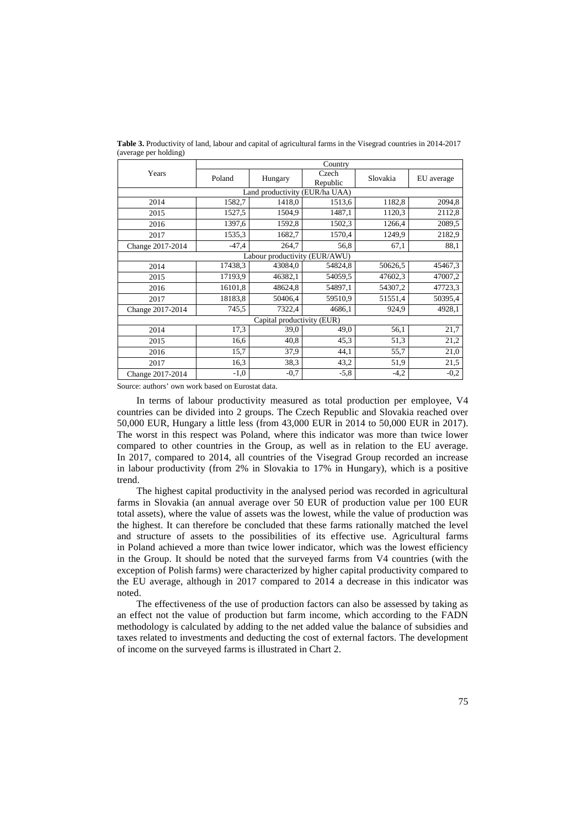|                            | Country |                                |                   |          |            |  |
|----------------------------|---------|--------------------------------|-------------------|----------|------------|--|
| Years                      | Poland  | Hungary                        | Czech<br>Republic | Slovakia | EU average |  |
|                            |         | Land productivity (EUR/ha UAA) |                   |          |            |  |
| 2014                       | 1582,7  | 1418,0                         | 1513,6            | 1182,8   | 2094,8     |  |
| 2015                       | 1527,5  | 1504,9                         | 1487,1            | 1120,3   | 2112,8     |  |
| 2016                       | 1397,6  | 1592,8                         | 1502,3            | 1266,4   | 2089.5     |  |
| 2017                       | 1535,3  | 1682,7                         | 1570,4            | 1249,9   | 2182,9     |  |
| Change 2017-2014           | $-47,4$ | 264,7                          | 56,8              | 67,1     | 88,1       |  |
|                            |         | Labour productivity (EUR/AWU)  |                   |          |            |  |
| 2014                       | 17438,3 | 43084,0                        | 54824,8           | 50626,5  | 45467,3    |  |
| 2015                       | 17193,9 | 46382,1                        | 54059,5           | 47602,3  | 47007,2    |  |
| 2016                       | 16101,8 | 48624,8                        | 54897,1           | 54307,2  | 47723,3    |  |
| 2017                       | 18183,8 | 50406,4                        | 59510.9           | 51551,4  | 50395,4    |  |
| Change 2017-2014           | 745,5   | 7322,4                         | 4686,1            | 924,9    | 4928,1     |  |
| Capital productivity (EUR) |         |                                |                   |          |            |  |
| 2014                       | 17,3    | 39,0                           | 49,0              | 56,1     | 21,7       |  |
| 2015                       | 16,6    | 40,8                           | 45.3              | 51,3     | 21,2       |  |
| 2016                       | 15,7    | 37,9                           | 44,1              | 55,7     | 21,0       |  |
| 2017                       | 16,3    | 38,3                           | 43,2              | 51,9     | 21,5       |  |
| Change 2017-2014           | $-1,0$  | $-0,7$                         | $-5.8$            | $-4,2$   | $-0,2$     |  |

**Table 3.** Productivity of land, labour and capital of agricultural farms in the Visegrad countries in 2014-2017 (average per holding)

Source: authors' own work based on Eurostat data.

In terms of labour productivity measured as total production per employee, V4 countries can be divided into 2 groups. The Czech Republic and Slovakia reached over 50,000 EUR, Hungary a little less (from 43,000 EUR in 2014 to 50,000 EUR in 2017). The worst in this respect was Poland, where this indicator was more than twice lower compared to other countries in the Group, as well as in relation to the EU average. In 2017, compared to 2014, all countries of the Visegrad Group recorded an increase in labour productivity (from 2% in Slovakia to 17% in Hungary), which is a positive trend.

The highest capital productivity in the analysed period was recorded in agricultural farms in Slovakia (an annual average over 50 EUR of production value per 100 EUR total assets), where the value of assets was the lowest, while the value of production was the highest. It can therefore be concluded that these farms rationally matched the level and structure of assets to the possibilities of its effective use. Agricultural farms in Poland achieved a more than twice lower indicator, which was the lowest efficiency in the Group. It should be noted that the surveyed farms from V4 countries (with the exception of Polish farms) were characterized by higher capital productivity compared to the EU average, although in 2017 compared to 2014 a decrease in this indicator was noted.

The effectiveness of the use of production factors can also be assessed by taking as an effect not the value of production but farm income, which according to the FADN methodology is calculated by adding to the net added value the balance of subsidies and taxes related to investments and deducting the cost of external factors. The development of income on the surveyed farms is illustrated in Chart 2.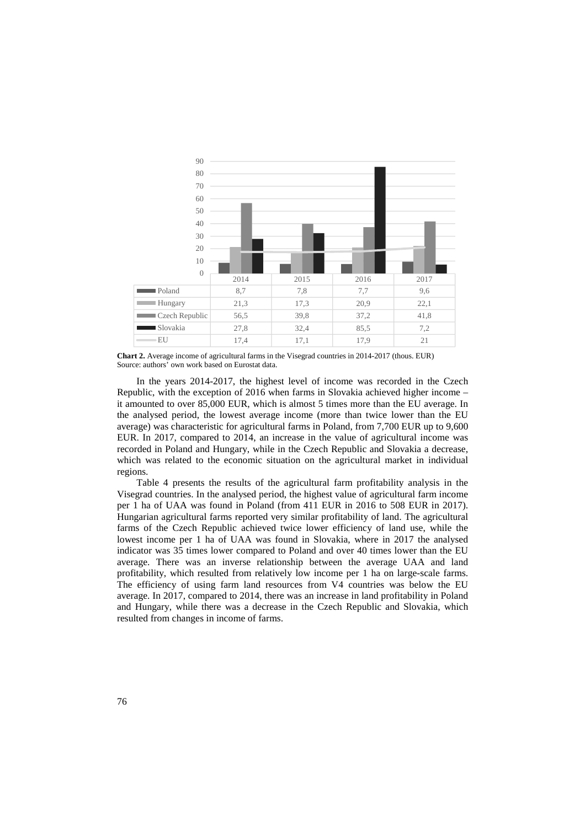

**Chart 2.** Average income of agricultural farms in the Visegrad countries in 2014-2017 (thous. EUR) Source: authors' own work based on Eurostat data.

In the years 2014-2017, the highest level of income was recorded in the Czech Republic, with the exception of 2016 when farms in Slovakia achieved higher income – it amounted to over 85,000 EUR, which is almost 5 times more than the EU average. In the analysed period, the lowest average income (more than twice lower than the EU average) was characteristic for agricultural farms in Poland, from 7,700 EUR up to 9,600 EUR. In 2017, compared to 2014, an increase in the value of agricultural income was recorded in Poland and Hungary, while in the Czech Republic and Slovakia a decrease, which was related to the economic situation on the agricultural market in individual regions.

Table 4 presents the results of the agricultural farm profitability analysis in the Visegrad countries. In the analysed period, the highest value of agricultural farm income per 1 ha of UAA was found in Poland (from 411 EUR in 2016 to 508 EUR in 2017). Hungarian agricultural farms reported very similar profitability of land. The agricultural farms of the Czech Republic achieved twice lower efficiency of land use, while the lowest income per 1 ha of UAA was found in Slovakia, where in 2017 the analysed indicator was 35 times lower compared to Poland and over 40 times lower than the EU average. There was an inverse relationship between the average UAA and land profitability, which resulted from relatively low income per 1 ha on large-scale farms. The efficiency of using farm land resources from V4 countries was below the EU average. In 2017, compared to 2014, there was an increase in land profitability in Poland and Hungary, while there was a decrease in the Czech Republic and Slovakia, which resulted from changes in income of farms.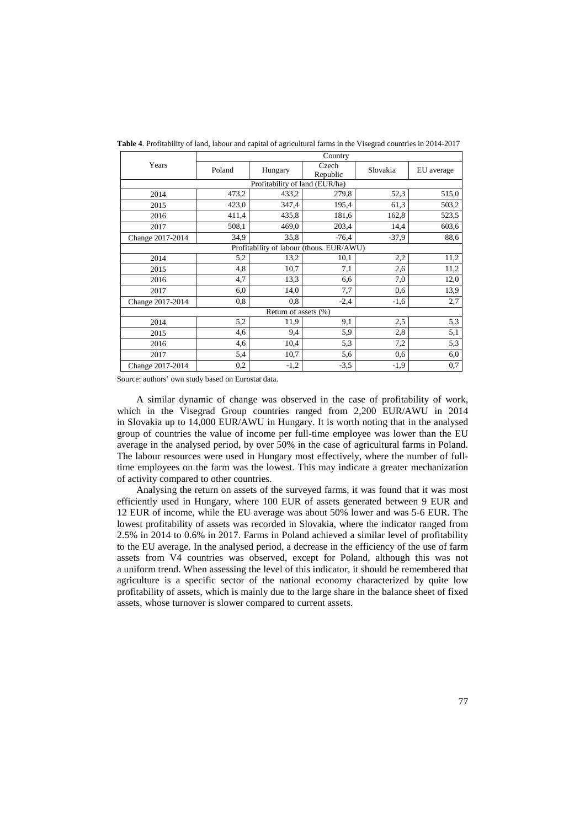|                      | Country                                  |         |                   |          |            |  |  |
|----------------------|------------------------------------------|---------|-------------------|----------|------------|--|--|
| Years                | Poland                                   | Hungary | Czech<br>Republic | Slovakia | EU average |  |  |
|                      | Profitability of land (EUR/ha)           |         |                   |          |            |  |  |
| 2014                 | 473,2                                    | 433,2   | 279,8             | 52,3     | 515,0      |  |  |
| 2015                 | 423,0                                    | 347,4   | 195,4             | 61,3     | 503,2      |  |  |
| 2016                 | 411,4                                    | 435,8   | 181,6             | 162,8    | 523,5      |  |  |
| 2017                 | 508,1                                    | 469,0   | 203,4             | 14,4     | 603,6      |  |  |
| Change 2017-2014     | 34,9                                     | 35,8    | $-76,4$           | $-37,9$  | 88,6       |  |  |
|                      | Profitability of labour (thous. EUR/AWU) |         |                   |          |            |  |  |
| 2014                 | 5,2                                      | 13,2    | 10,1              | 2,2      | 11,2       |  |  |
| 2015                 | 4,8                                      | 10,7    | 7,1               | 2,6      | 11,2       |  |  |
| 2016                 | 4,7                                      | 13,3    | 6,6               | 7,0      | 12,0       |  |  |
| 2017                 | 6,0                                      | 14,0    | 7,7               | 0,6      | 13,9       |  |  |
| Change 2017-2014     | 0,8                                      | 0,8     | $-2,4$            | $-1,6$   | 2,7        |  |  |
| Return of assets (%) |                                          |         |                   |          |            |  |  |
| 2014                 | 5,2                                      | 11,9    | 9,1               | 2,5      | 5,3        |  |  |
| 2015                 | 4,6                                      | 9,4     | 5,9               | 2,8      | 5,1        |  |  |
| 2016                 | 4,6                                      | 10,4    | 5,3               | 7,2      | 5,3        |  |  |
| 2017                 | 5,4                                      | 10,7    | 5,6               | 0,6      | 6,0        |  |  |
| Change 2017-2014     | $_{0,2}$                                 | $-1,2$  | $-3,5$            | $-1,9$   | 0,7        |  |  |

**Table 4**. Profitability of land, labour and capital of agricultural farms in the Visegrad countries in 2014-2017

Source: authors' own study based on Eurostat data.

A similar dynamic of change was observed in the case of profitability of work, which in the Visegrad Group countries ranged from 2,200 EUR/AWU in 2014 in Slovakia up to 14,000 EUR/AWU in Hungary. It is worth noting that in the analysed group of countries the value of income per full-time employee was lower than the EU average in the analysed period, by over 50% in the case of agricultural farms in Poland. The labour resources were used in Hungary most effectively, where the number of fulltime employees on the farm was the lowest. This may indicate a greater mechanization of activity compared to other countries.

Analysing the return on assets of the surveyed farms, it was found that it was most efficiently used in Hungary, where 100 EUR of assets generated between 9 EUR and 12 EUR of income, while the EU average was about 50% lower and was 5-6 EUR. The lowest profitability of assets was recorded in Slovakia, where the indicator ranged from 2.5% in 2014 to 0.6% in 2017. Farms in Poland achieved a similar level of profitability to the EU average. In the analysed period, a decrease in the efficiency of the use of farm assets from V4 countries was observed, except for Poland, although this was not a uniform trend. When assessing the level of this indicator, it should be remembered that agriculture is a specific sector of the national economy characterized by quite low profitability of assets, which is mainly due to the large share in the balance sheet of fixed assets, whose turnover is slower compared to current assets.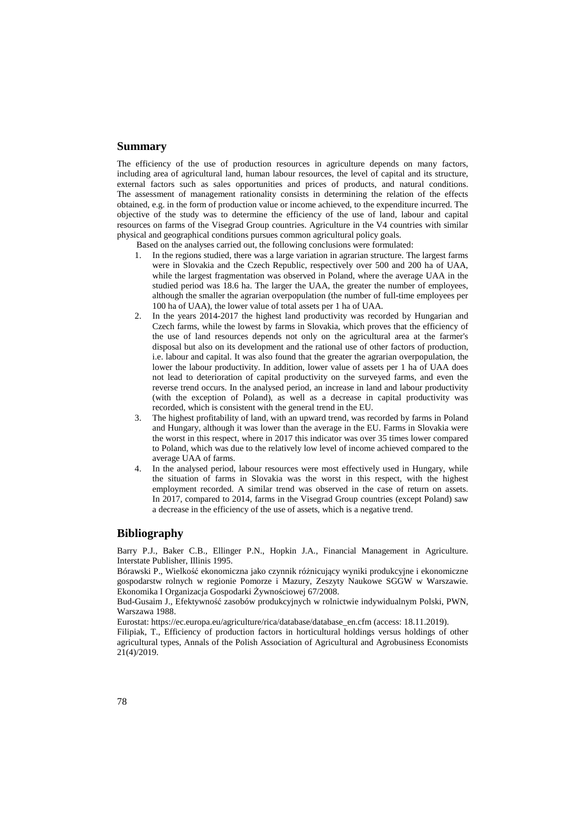# **Summary**

The efficiency of the use of production resources in agriculture depends on many factors, including area of agricultural land, human labour resources, the level of capital and its structure, external factors such as sales opportunities and prices of products, and natural conditions. The assessment of management rationality consists in determining the relation of the effects obtained, e.g. in the form of production value or income achieved, to the expenditure incurred. The objective of the study was to determine the efficiency of the use of land, labour and capital resources on farms of the Visegrad Group countries. Agriculture in the V4 countries with similar physical and geographical conditions pursues common agricultural policy goals.

Based on the analyses carried out, the following conclusions were formulated:

- 1. In the regions studied, there was a large variation in agrarian structure. The largest farms were in Slovakia and the Czech Republic, respectively over 500 and 200 ha of UAA, while the largest fragmentation was observed in Poland, where the average UAA in the studied period was 18.6 ha. The larger the UAA, the greater the number of employees, although the smaller the agrarian overpopulation (the number of full-time employees per 100 ha of UAA), the lower value of total assets per 1 ha of UAA.
- 2. In the years 2014-2017 the highest land productivity was recorded by Hungarian and Czech farms, while the lowest by farms in Slovakia, which proves that the efficiency of the use of land resources depends not only on the agricultural area at the farmer's disposal but also on its development and the rational use of other factors of production, i.e. labour and capital. It was also found that the greater the agrarian overpopulation, the lower the labour productivity. In addition, lower value of assets per 1 ha of UAA does not lead to deterioration of capital productivity on the surveyed farms, and even the reverse trend occurs. In the analysed period, an increase in land and labour productivity (with the exception of Poland), as well as a decrease in capital productivity was recorded, which is consistent with the general trend in the EU.
- 3. The highest profitability of land, with an upward trend, was recorded by farms in Poland and Hungary, although it was lower than the average in the EU. Farms in Slovakia were the worst in this respect, where in 2017 this indicator was over 35 times lower compared to Poland, which was due to the relatively low level of income achieved compared to the average UAA of farms.
- 4. In the analysed period, labour resources were most effectively used in Hungary, while the situation of farms in Slovakia was the worst in this respect, with the highest employment recorded. A similar trend was observed in the case of return on assets. In 2017, compared to 2014, farms in the Visegrad Group countries (except Poland) saw a decrease in the efficiency of the use of assets, which is a negative trend.

# **Bibliography**

Barry P.J., Baker C.B., Ellinger P.N., Hopkin J.A., Financial Management in Agriculture. Interstate Publisher, Illinis 1995.

Bórawski P., Wielkość ekonomiczna jako czynnik różnicujący wyniki produkcyjne i ekonomiczne gospodarstw rolnych w regionie Pomorze i Mazury, Zeszyty Naukowe SGGW w Warszawie. Ekonomika I Organizacja Gospodarki Żywnościowej 67/2008.

Bud-Gusaim J., Efektywność zasobów produkcyjnych w rolnictwie indywidualnym Polski, PWN, Warszawa 1988.

Eurostat: https://ec.europa.eu/agriculture/rica/database/database\_en.cfm (access: 18.11.2019).

Filipiak, T., Efficiency of production factors in horticultural holdings versus holdings of other agricultural types, Annals of the Polish Association of Agricultural and Agrobusiness Economists 21(4)/2019.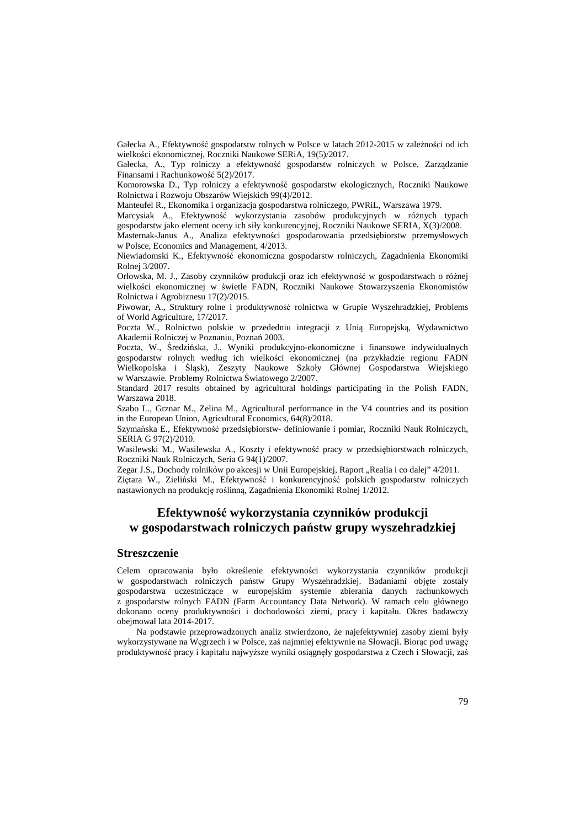Gałecka A., Efektywność gospodarstw rolnych w Polsce w latach 2012-2015 w zależności od ich wielkości ekonomicznej, Roczniki Naukowe SERiA, 19(5)/2017.

Gałecka, A., Typ rolniczy a efektywność gospodarstw rolniczych w Polsce, Zarządzanie Finansami i Rachunkowość 5(2)/2017.

Komorowska D., Typ rolniczy a efektywność gospodarstw ekologicznych, Roczniki Naukowe Rolnictwa i Rozwoju Obszarów Wiejskich 99(4)/2012.

Manteufel R., Ekonomika i organizacja gospodarstwa rolniczego, PWRiL, Warszawa 1979.

Marcysiak A., Efektywność wykorzystania zasobów produkcyjnych w różnych typach gospodarstw jako element oceny ich siły konkurencyjnej, Roczniki Naukowe SERIA, X(3)/2008.

Masternak-Janus A., Analiza efektywności gospodarowania przedsiębiorstw przemysłowych w Polsce, Economics and Management, 4/2013.

Niewiadomski K., Efektywność ekonomiczna gospodarstw rolniczych, Zagadnienia Ekonomiki Rolnej 3/2007.

Orłowska, M. J., Zasoby czynników produkcji oraz ich efektywność w gospodarstwach o różnej wielkości ekonomicznej w świetle FADN, Roczniki Naukowe Stowarzyszenia Ekonomistów Rolnictwa i Agrobiznesu 17(2)/2015.

Piwowar, A., Struktury rolne i produktywność rolnictwa w Grupie Wyszehradzkiej, Problems of World Agriculture, 17/2017.

Poczta W., Rolnictwo polskie w przededniu integracji z Unią Europejską, Wydawnictwo Akademii Rolniczej w Poznaniu, Poznań 2003.

Poczta, W., Średzińska, J., Wyniki produkcyjno-ekonomiczne i finansowe indywidualnych gospodarstw rolnych według ich wielkości ekonomicznej (na przykładzie regionu FADN Wielkopolska i Śląsk), Zeszyty Naukowe Szkoły Głównej Gospodarstwa Wiejskiego w Warszawie. Problemy Rolnictwa Światowego 2/2007.

Standard 2017 results obtained by agricultural holdings participating in the Polish FADN, Warszawa 2018.

Szabo L., Grznar M., Zelina M., Agricultural performance in the V4 countries and its position in the European Union, Agricultural Economics, 64(8)/2018.

Szymańska E., Efektywność przedsiębiorstw- definiowanie i pomiar, Roczniki Nauk Rolniczych, SERIA G 97(2)/2010.

Wasilewski M., Wasilewska A., Koszty i efektywność pracy w przedsiębiorstwach rolniczych, Roczniki Nauk Rolniczych, Seria G 94(1)/2007.

Zegar J.S., Dochody rolników po akcesji w Unii Europejskiej, Raport "Realia i co dalej" 4/2011.

Ziętara W., Zieliński M., Efektywność i konkurencyjność polskich gospodarstw rolniczych nastawionych na produkcję roślinną, Zagadnienia Ekonomiki Rolnej 1/2012.

# **Efektywność wykorzystania czynników produkcji w gospodarstwach rolniczych państw grupy wyszehradzkiej**

### **Streszczenie**

Celem opracowania było określenie efektywności wykorzystania czynników produkcji w gospodarstwach rolniczych państw Grupy Wyszehradzkiej. Badaniami objęte zostały gospodarstwa uczestniczące w europejskim systemie zbierania danych rachunkowych z gospodarstw rolnych FADN (Farm Accountancy Data Network). W ramach celu głównego dokonano oceny produktywności i dochodowości ziemi, pracy i kapitału. Okres badawczy obejmował lata 2014-2017.

Na podstawie przeprowadzonych analiz stwierdzono, że najefektywniej zasoby ziemi były wykorzystywane na Węgrzech i w Polsce, zaś najmniej efektywnie na Słowacji. Biorąc pod uwagę produktywność pracy i kapitału najwyższe wyniki osiągnęły gospodarstwa z Czech i Słowacji, zaś